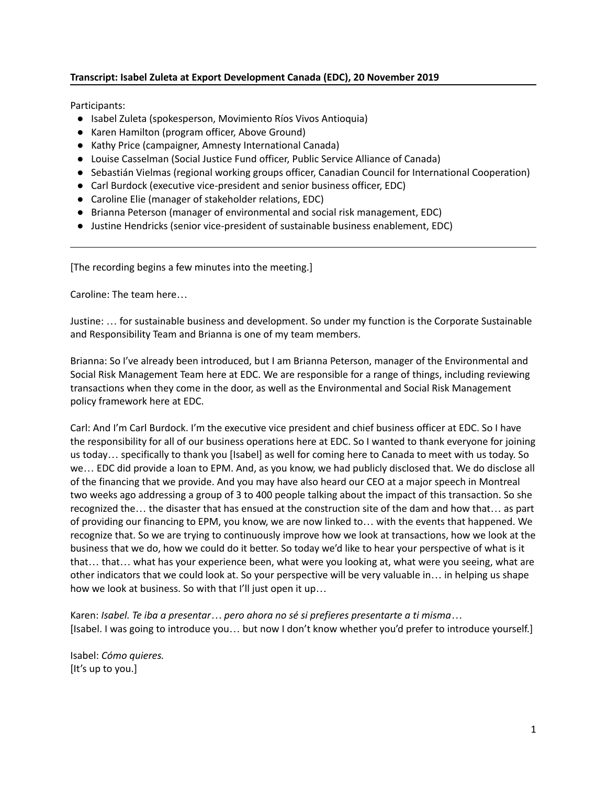## **Transcript: Isabel Zuleta at Export Development Canada (EDC), 20 November 2019**

Participants:

- Isabel Zuleta (spokesperson, Movimiento Ríos Vivos Antioquia)
- Karen Hamilton (program officer, Above Ground)
- Kathy Price (campaigner, Amnesty International Canada)
- Louise Casselman (Social Justice Fund officer, Public Service Alliance of Canada)
- Sebastián Vielmas (regional working groups officer, Canadian Council for International Cooperation)
- Carl Burdock (executive vice-president and senior business officer, EDC)
- Caroline Elie (manager of stakeholder relations, EDC)
- Brianna Peterson (manager of environmental and social risk management, EDC)
- Justine Hendricks (senior vice-president of sustainable business enablement, EDC)

[The recording begins a few minutes into the meeting.]

Caroline: The team here…

Justine: … for sustainable business and development. So under my function is the Corporate Sustainable and Responsibility Team and Brianna is one of my team members.

Brianna: So I've already been introduced, but I am Brianna Peterson, manager of the Environmental and Social Risk Management Team here at EDC. We are responsible for a range of things, including reviewing transactions when they come in the door, as well as the Environmental and Social Risk Management policy framework here at EDC.

Carl: And I'm Carl Burdock. I'm the executive vice president and chief business officer at EDC. So I have the responsibility for all of our business operations here at EDC. So I wanted to thank everyone for joining us today… specifically to thank you [Isabel] as well for coming here to Canada to meet with us today. So we… EDC did provide a loan to EPM. And, as you know, we had publicly disclosed that. We do disclose all of the financing that we provide. And you may have also heard our CEO at a major speech in Montreal two weeks ago addressing a group of 3 to 400 people talking about the impact of this transaction. So she recognized the… the disaster that has ensued at the construction site of the dam and how that… as part of providing our financing to EPM, you know, we are now linked to… with the events that happened. We recognize that. So we are trying to continuously improve how we look at transactions, how we look at the business that we do, how we could do it better. So today we'd like to hear your perspective of what is it that… that… what has your experience been, what were you looking at, what were you seeing, what are other indicators that we could look at. So your perspective will be very valuable in… in helping us shape how we look at business. So with that I'll just open it up…

Karen: *Isabel. Te iba a presentar… pero ahora no sé si prefieres presentarte a ti misma…* [Isabel. I was going to introduce you… but now I don't know whether you'd prefer to introduce yourself.]

Isabel: *Cómo quieres.* [It's up to you.]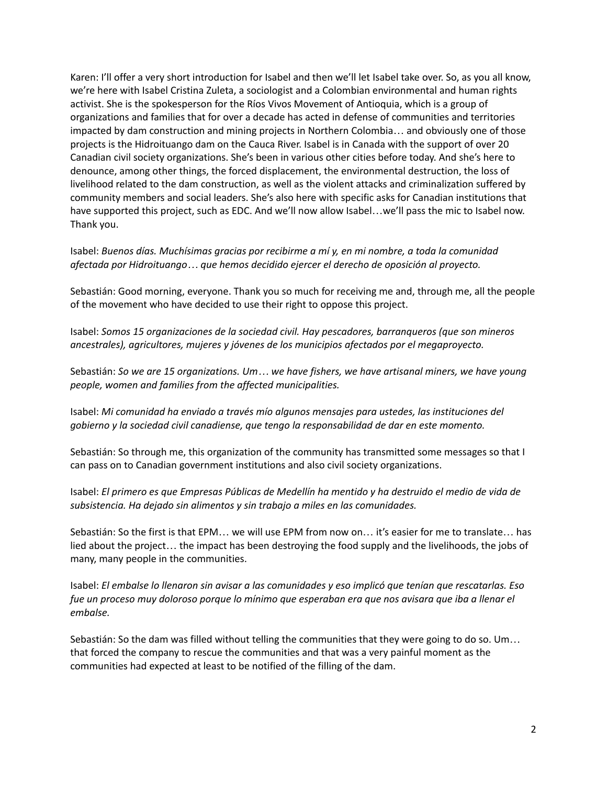Karen: I'll offer a very short introduction for Isabel and then we'll let Isabel take over. So, as you all know, we're here with Isabel Cristina Zuleta, a sociologist and a Colombian environmental and human rights activist. She is the spokesperson for the Ríos Vivos Movement of Antioquia, which is a group of organizations and families that for over a decade has acted in defense of communities and territories impacted by dam construction and mining projects in Northern Colombia… and obviously one of those projects is the Hidroituango dam on the Cauca River. Isabel is in Canada with the support of over 20 Canadian civil society organizations. She's been in various other cities before today. And she's here to denounce, among other things, the forced displacement, the environmental destruction, the loss of livelihood related to the dam construction, as well as the violent attacks and criminalization suffered by community members and social leaders. She's also here with specific asks for Canadian institutions that have supported this project, such as EDC. And we'll now allow Isabel...we'll pass the mic to Isabel now. Thank you.

Isabel: *Buenos días. Muchísimas gracias por recibirme a mí y, en mi nombre, a toda la comunidad afectada por Hidroituango… que hemos decidido ejercer el derecho de oposición al proyecto.*

Sebastián: Good morning, everyone. Thank you so much for receiving me and, through me, all the people of the movement who have decided to use their right to oppose this project.

Isabel: *Somos 15 organizaciones de la sociedad civil. Hay pescadores, barranqueros (que son mineros ancestrales), agricultores, mujeres y jóvenes de los municipios afectados por el megaproyecto.*

Sebastián: *So we are 15 organizations. Um… we have fishers, we have artisanal miners, we have young people, women and families from the affected municipalities.*

Isabel: *Mi comunidad ha enviado a través mío algunos mensajes para ustedes, las instituciones del gobierno y la sociedad civil canadiense, que tengo la responsabilidad de dar en este momento.*

Sebastián: So through me, this organization of the community has transmitted some messages so that I can pass on to Canadian government institutions and also civil society organizations.

Isabel: El primero es que Empresas Públicas de Medellín ha mentido y ha destruido el medio de vida de *subsistencia. Ha dejado sin alimentos y sin trabajo a miles en las comunidades.*

Sebastián: So the first is that EPM… we will use EPM from now on… it's easier for me to translate… has lied about the project… the impact has been destroying the food supply and the livelihoods, the jobs of many, many people in the communities.

Isabel: *El embalse lo llenaron sin avisar a las comunidades y eso implicó que tenían que rescatarlas. Eso* fue un proceso muy doloroso porque lo mínimo que esperaban era que nos avisara que iba a llenar el *embalse.*

Sebastián: So the dam was filled without telling the communities that they were going to do so. Um… that forced the company to rescue the communities and that was a very painful moment as the communities had expected at least to be notified of the filling of the dam.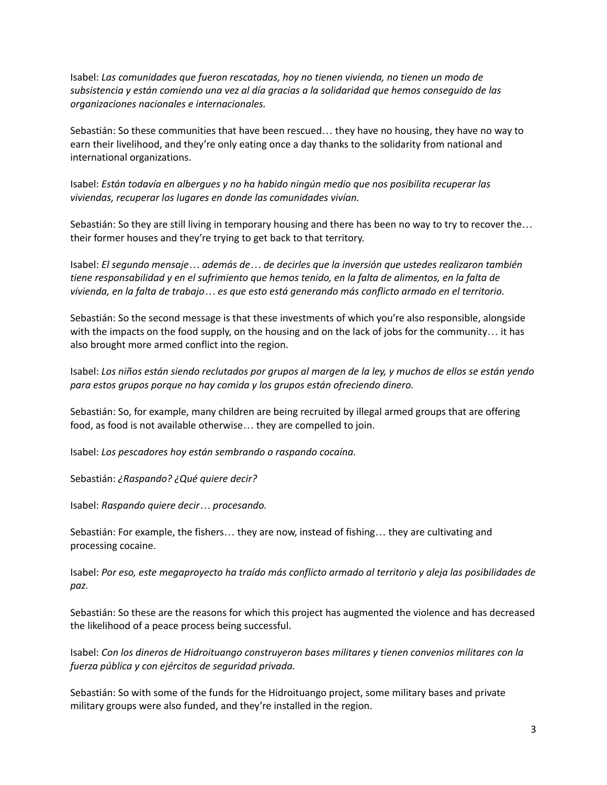Isabel: *Las comunidades que fueron rescatadas, hoy no tienen vivienda, no tienen un modo de subsistencia y están comiendo una vez al día gracias a la solidaridad que hemos conseguido de las organizaciones nacionales e internacionales.*

Sebastián: So these communities that have been rescued… they have no housing, they have no way to earn their livelihood, and they're only eating once a day thanks to the solidarity from national and international organizations.

Isabel: *Están todavía en albergues y no ha habido ningún medio que nos posibilita recuperar las viviendas, recuperar los lugares en donde las comunidades vivían.*

Sebastián: So they are still living in temporary housing and there has been no way to try to recover the… their former houses and they're trying to get back to that territory.

Isabel: *El segundo mensaje… además de… de decirles que la inversión que ustedes realizaron también* tiene responsabilidad y en el sufrimiento que hemos tenido, en la falta de alimentos, en la falta de vivienda, en la falta de trabajo... es que esto está generando más conflicto armado en el territorio.

Sebastián: So the second message is that these investments of which you're also responsible, alongside with the impacts on the food supply, on the housing and on the lack of jobs for the community… it has also brought more armed conflict into the region.

Isabel: Los niños están siendo reclutados por grupos al margen de la ley, y muchos de ellos se están yendo *para estos grupos porque no hay comida y los grupos están ofreciendo dinero.*

Sebastián: So, for example, many children are being recruited by illegal armed groups that are offering food, as food is not available otherwise… they are compelled to join.

Isabel: *Los pescadores hoy están sembrando o raspando cocaína.*

Sebastián: *¿Raspando? ¿Qué quiere decir?*

Isabel: *Raspando quiere decir… procesando.*

Sebastián: For example, the fishers… they are now, instead of fishing… they are cultivating and processing cocaine.

Isabel: *Por eso, este megaproyecto ha traído más conflicto armado al territorio y aleja las posibilidades de paz.*

Sebastián: So these are the reasons for which this project has augmented the violence and has decreased the likelihood of a peace process being successful.

Isabel: *Con los dineros de Hidroituango construyeron bases militares y tienen convenios militares con la fuerza pública y con ejércitos de seguridad privada.*

Sebastián: So with some of the funds for the Hidroituango project, some military bases and private military groups were also funded, and they're installed in the region.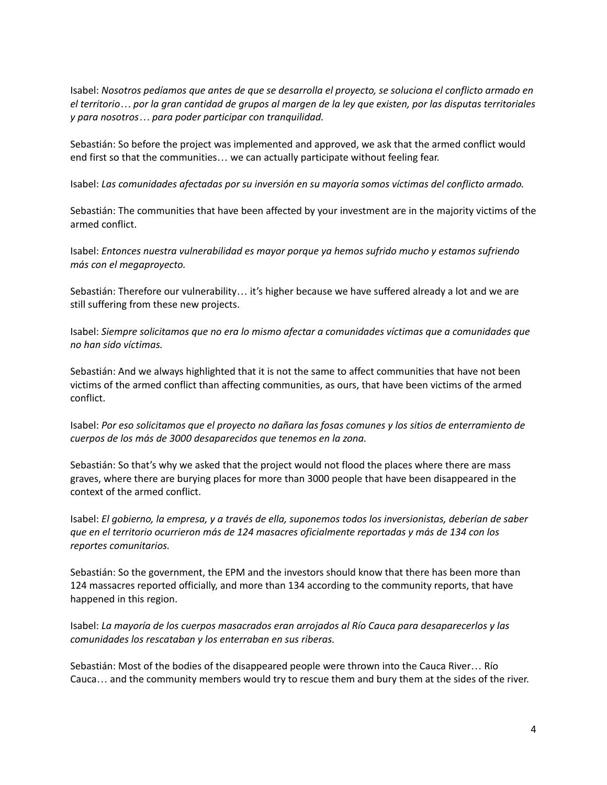Isabel: *Nosotros pedíamos que antes de que se desarrolla el proyecto, se soluciona el conflicto armado en* el territorio... por la gran cantidad de grupos al margen de la ley que existen, por las disputas territoriales *y para nosotros… para poder participar con tranquilidad.*

Sebastián: So before the project was implemented and approved, we ask that the armed conflict would end first so that the communities… we can actually participate without feeling fear.

Isabel: *Las comunidades afectadas por su inversión en su mayoría somos víctimas del conflicto armado.*

Sebastián: The communities that have been affected by your investment are in the majority victims of the armed conflict.

Isabel: *Entonces nuestra vulnerabilidad es mayor porque ya hemos sufrido mucho y estamos sufriendo más con el megaproyecto.*

Sebastián: Therefore our vulnerability… it's higher because we have suffered already a lot and we are still suffering from these new projects.

Isabel: *Siempre solicitamos que no era lo mismo afectar a comunidades víctimas que a comunidades que no han sido víctimas.*

Sebastián: And we always highlighted that it is not the same to affect communities that have not been victims of the armed conflict than affecting communities, as ours, that have been victims of the armed conflict.

Isabel: *Por eso solicitamos que el proyecto no dañara las fosas comunes y los sitios de enterramiento de cuerpos de los más de 3000 desaparecidos que tenemos en la zona.*

Sebastián: So that's why we asked that the project would not flood the places where there are mass graves, where there are burying places for more than 3000 people that have been disappeared in the context of the armed conflict.

Isabel: *El gobierno, la empresa, y a través de ella, suponemos todos los inversionistas, deberían de saber que en el territorio ocurrieron más de 124 masacres oficialmente reportadas y más de 134 con los reportes comunitarios.*

Sebastián: So the government, the EPM and the investors should know that there has been more than 124 massacres reported officially, and more than 134 according to the community reports, that have happened in this region.

Isabel: *La mayoría de los cuerpos masacrados eran arrojados al Río Cauca para desaparecerlos y las comunidades los rescataban y los enterraban en sus riberas.*

Sebastián: Most of the bodies of the disappeared people were thrown into the Cauca River… Río Cauca… and the community members would try to rescue them and bury them at the sides of the river.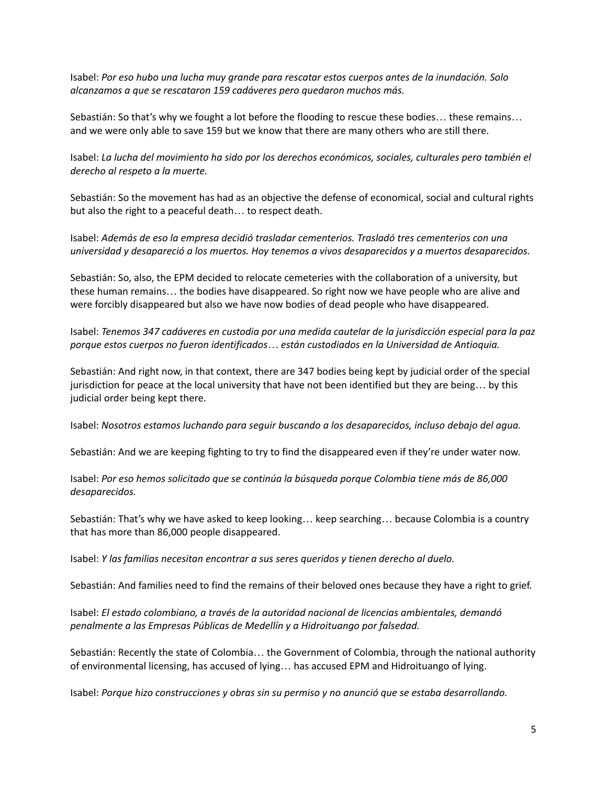Isabel: *Por eso hubo una lucha muy grande para rescatar estos cuerpos antes de la inundación. Solo alcanzamos a que se rescataron 159 cadáveres pero quedaron muchos más.*

Sebastián: So that's why we fought a lot before the flooding to rescue these bodies… these remains… and we were only able to save 159 but we know that there are many others who are still there.

Isabel: *La lucha del movimiento ha sido por los derechos económicos, sociales, culturales pero también el derecho al respeto a la muerte.*

Sebastián: So the movement has had as an objective the defense of economical, social and cultural rights but also the right to a peaceful death… to respect death.

Isabel: *Además de eso la empresa decidió trasladar cementerios. Trasladó tres cementerios con una universidad y desapareció a los muertos. Hoy tenemos a vivos desaparecidos y a muertos desaparecidos.*

Sebastián: So, also, the EPM decided to relocate cemeteries with the collaboration of a university, but these human remains… the bodies have disappeared. So right now we have people who are alive and were forcibly disappeared but also we have now bodies of dead people who have disappeared.

Isabel: *Tenemos 347 cadáveres en custodia por una medida cautelar de la jurisdicción especial para la paz porque estos cuerpos no fueron identificados… están custodiados en la Universidad de Antioquia.*

Sebastián: And right now, in that context, there are 347 bodies being kept by judicial order of the special jurisdiction for peace at the local university that have not been identified but they are being… by this judicial order being kept there.

Isabel: *Nosotros estamos luchando para seguir buscando a los desaparecidos, incluso debajo del agua.*

Sebastián: And we are keeping fighting to try to find the disappeared even if they're under water now.

Isabel: *Por eso hemos solicitado que se continúa la búsqueda porque Colombia tiene más de 86,000 desaparecidos.*

Sebastián: That's why we have asked to keep looking… keep searching… because Colombia is a country that has more than 86,000 people disappeared.

Isabel: *Y las familias necesitan encontrar a sus seres queridos y tienen derecho al duelo.*

Sebastián: And families need to find the remains of their beloved ones because they have a right to grief.

Isabel: *El estado colombiano, a través de la autoridad nacional de licencias ambientales, demandó penalmente a las Empresas Públicas de Medellín y a Hidroituango por falsedad.*

Sebastián: Recently the state of Colombia… the Government of Colombia, through the national authority of environmental licensing, has accused of lying… has accused EPM and Hidroituango of lying.

Isabel: *Porque hizo construcciones y obras sin su permiso y no anunció que se estaba desarrollando.*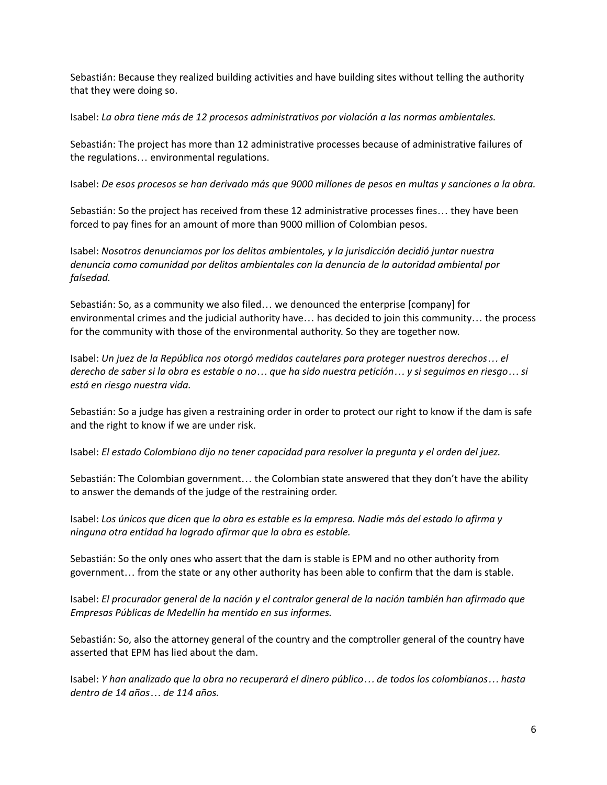Sebastián: Because they realized building activities and have building sites without telling the authority that they were doing so.

Isabel: *La obra tiene más de 12 procesos administrativos por violación a las normas ambientales.*

Sebastián: The project has more than 12 administrative processes because of administrative failures of the regulations… environmental regulations.

Isabel: De esos procesos se han derivado más que 9000 millones de pesos en multas y sanciones a la obra.

Sebastián: So the project has received from these 12 administrative processes fines… they have been forced to pay fines for an amount of more than 9000 million of Colombian pesos.

Isabel: *Nosotros denunciamos por los delitos ambientales, y la jurisdicción decidió juntar nuestra denuncia como comunidad por delitos ambientales con la denuncia de la autoridad ambiental por falsedad.*

Sebastián: So, as a community we also filed… we denounced the enterprise [company] for environmental crimes and the judicial authority have… has decided to join this community… the process for the community with those of the environmental authority. So they are together now.

Isabel: *Un juez de la República nos otorgó medidas cautelares para proteger nuestros derechos… el* derecho de saber si la obra es estable o no... que ha sido nuestra petición... y si seguimos en riesgo... si *está en riesgo nuestra vida.*

Sebastián: So a judge has given a restraining order in order to protect our right to know if the dam is safe and the right to know if we are under risk.

Isabel: *El estado Colombiano dijo no tener capacidad para resolver la pregunta y el orden del juez.*

Sebastián: The Colombian government… the Colombian state answered that they don't have the ability to answer the demands of the judge of the restraining order.

Isabel: Los únicos que dicen que la obra es estable es la empresa. Nadie más del estado lo afirma y *ninguna otra entidad ha logrado afirmar que la obra es estable.*

Sebastián: So the only ones who assert that the dam is stable is EPM and no other authority from government… from the state or any other authority has been able to confirm that the dam is stable.

Isabel: *El procurador general de la nación y el contralor general de la nación también han afirmado que Empresas Públicas de Medellín ha mentido en sus informes.*

Sebastián: So, also the attorney general of the country and the comptroller general of the country have asserted that EPM has lied about the dam.

Isabel: Y han analizado que la obra no recuperará el dinero público... de todos los colombianos... hasta *dentro de 14 años… de 114 años.*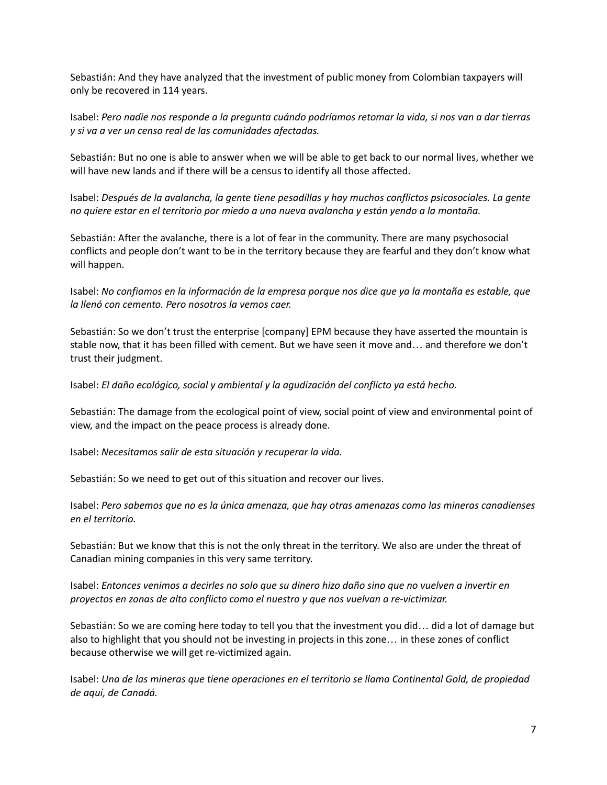Sebastián: And they have analyzed that the investment of public money from Colombian taxpayers will only be recovered in 114 years.

Isabel: Pero nadie nos responde a la pregunta cuándo podríamos retomar la vida, si nos van a dar tierras *y si va a ver un censo real de las comunidades afectadas.*

Sebastián: But no one is able to answer when we will be able to get back to our normal lives, whether we will have new lands and if there will be a census to identify all those affected.

Isabel: *Después de la avalancha, la gente tiene pesadillas y hay muchos conflictos psicosociales. La gente no quiere estar en el territorio por miedo a una nueva avalancha y están yendo a la montaña.*

Sebastián: After the avalanche, there is a lot of fear in the community. There are many psychosocial conflicts and people don't want to be in the territory because they are fearful and they don't know what will happen.

Isabel: No confiamos en la información de la empresa porque nos dice que ya la montaña es estable, que *la llenó con cemento. Pero nosotros la vemos caer.*

Sebastián: So we don't trust the enterprise [company] EPM because they have asserted the mountain is stable now, that it has been filled with cement. But we have seen it move and… and therefore we don't trust their judgment.

Isabel: *El daño ecológico, social y ambiental y la agudización del conflicto ya está hecho.*

Sebastián: The damage from the ecological point of view, social point of view and environmental point of view, and the impact on the peace process is already done.

Isabel: *Necesitamos salir de esta situación y recuperar la vida.*

Sebastián: So we need to get out of this situation and recover our lives.

Isabel: *Pero sabemos que no es la única amenaza, que hay otras amenazas como las mineras canadienses en el territorio.*

Sebastián: But we know that this is not the only threat in the territory. We also are under the threat of Canadian mining companies in this very same territory.

Isabel: Entonces venimos a decirles no solo que su dinero hizo daño sino que no vuelven a invertir en *proyectos en zonas de alto conflicto como el nuestro y que nos vuelvan a re-victimizar.*

Sebastián: So we are coming here today to tell you that the investment you did… did a lot of damage but also to highlight that you should not be investing in projects in this zone… in these zones of conflict because otherwise we will get re-victimized again.

Isabel: *Una de las mineras que tiene operaciones en el territorio se llama Continental Gold, de propiedad de aquí, de Canadá.*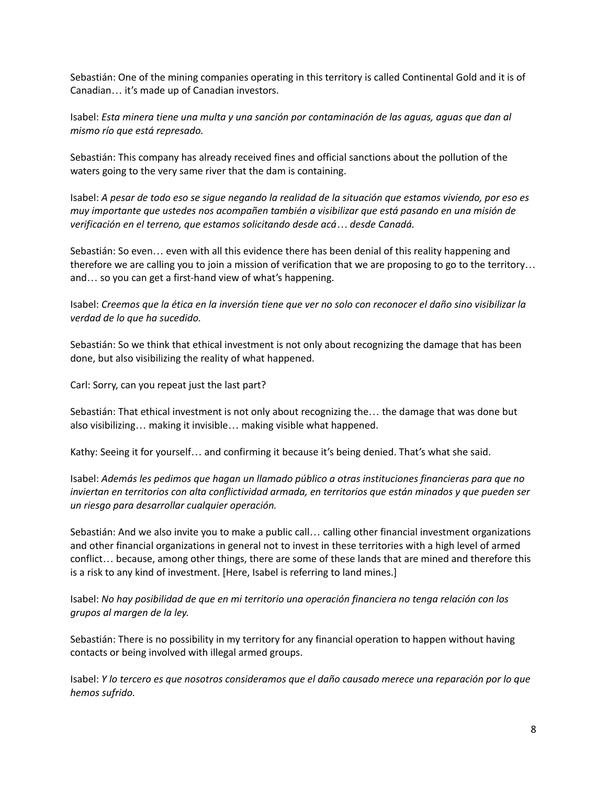Sebastián: One of the mining companies operating in this territory is called Continental Gold and it is of Canadian… it's made up of Canadian investors.

Isabel: *Esta minera tiene una multa y una sanción por contaminación de las aguas, aguas que dan al mismo río que está represado.*

Sebastián: This company has already received fines and official sanctions about the pollution of the waters going to the very same river that the dam is containing.

Isabel: A pesar de todo eso se sigue negando la realidad de la situación que estamos viviendo, por eso es *muy importante que ustedes nos acompañen también a visibilizar que está pasando en una misión de verificación en el terreno, que estamos solicitando desde acá… desde Canadá.*

Sebastián: So even… even with all this evidence there has been denial of this reality happening and therefore we are calling you to join a mission of verification that we are proposing to go to the territory… and… so you can get a first-hand view of what's happening.

Isabel: Creemos que la ética en la inversión tiene que ver no solo con reconocer el daño sino visibilizar la *verdad de lo que ha sucedido.*

Sebastián: So we think that ethical investment is not only about recognizing the damage that has been done, but also visibilizing the reality of what happened.

Carl: Sorry, can you repeat just the last part?

Sebastián: That ethical investment is not only about recognizing the… the damage that was done but also visibilizing… making it invisible… making visible what happened.

Kathy: Seeing it for yourself… and confirming it because it's being denied. That's what she said.

Isabel: *Además les pedimos que hagan un llamado público a otras instituciones financieras para que no inviertan en territorios con alta conflictividad armada, en territorios que están minados y que pueden ser un riesgo para desarrollar cualquier operación.*

Sebastián: And we also invite you to make a public call… calling other financial investment organizations and other financial organizations in general not to invest in these territories with a high level of armed conflict… because, among other things, there are some of these lands that are mined and therefore this is a risk to any kind of investment. [Here, Isabel is referring to land mines.]

Isabel: *No hay posibilidad de que en mi territorio una operación financiera no tenga relación con los grupos al margen de la ley.*

Sebastián: There is no possibility in my territory for any financial operation to happen without having contacts or being involved with illegal armed groups.

Isabel: *Y lo tercero es que nosotros consideramos que el daño causado merece una reparación por lo que hemos sufrido.*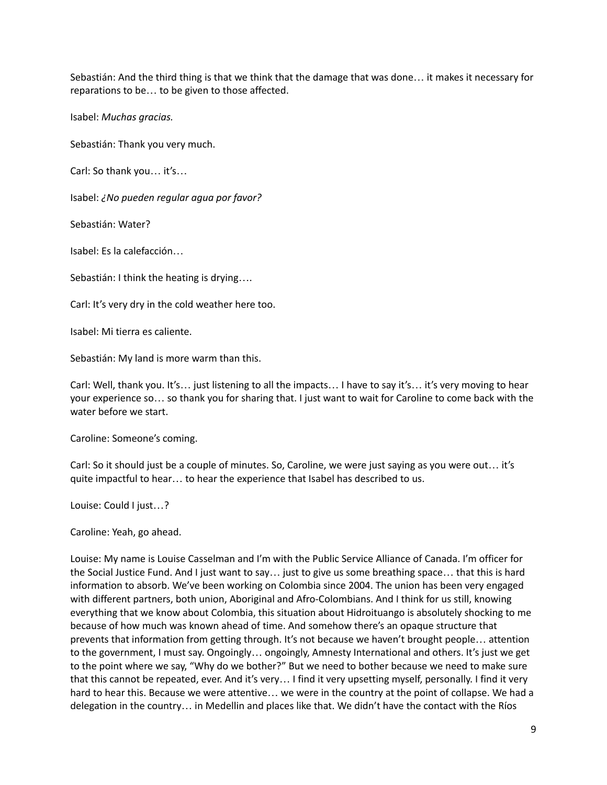Sebastián: And the third thing is that we think that the damage that was done… it makes it necessary for reparations to be… to be given to those affected.

Isabel: *Muchas gracias.*

Sebastián: Thank you very much.

Carl: So thank you… it's…

Isabel: *¿No pueden regular agua por favor?*

Sebastián: Water?

Isabel: Es la calefacción…

Sebastián: I think the heating is drying….

Carl: It's very dry in the cold weather here too.

Isabel: Mi tierra es caliente.

Sebastián: My land is more warm than this.

Carl: Well, thank you. It's… just listening to all the impacts… I have to say it's… it's very moving to hear your experience so… so thank you for sharing that. I just want to wait for Caroline to come back with the water before we start.

Caroline: Someone's coming.

Carl: So it should just be a couple of minutes. So, Caroline, we were just saying as you were out… it's quite impactful to hear… to hear the experience that Isabel has described to us.

Louise: Could I just…?

Caroline: Yeah, go ahead.

Louise: My name is Louise Casselman and I'm with the Public Service Alliance of Canada. I'm officer for the Social Justice Fund. And I just want to say… just to give us some breathing space… that this is hard information to absorb. We've been working on Colombia since 2004. The union has been very engaged with different partners, both union, Aboriginal and Afro-Colombians. And I think for us still, knowing everything that we know about Colombia, this situation about Hidroituango is absolutely shocking to me because of how much was known ahead of time. And somehow there's an opaque structure that prevents that information from getting through. It's not because we haven't brought people… attention to the government, I must say. Ongoingly… ongoingly, Amnesty International and others. It's just we get to the point where we say, "Why do we bother?" But we need to bother because we need to make sure that this cannot be repeated, ever. And it's very… I find it very upsetting myself, personally. I find it very hard to hear this. Because we were attentive… we were in the country at the point of collapse. We had a delegation in the country… in Medellin and places like that. We didn't have the contact with the Ríos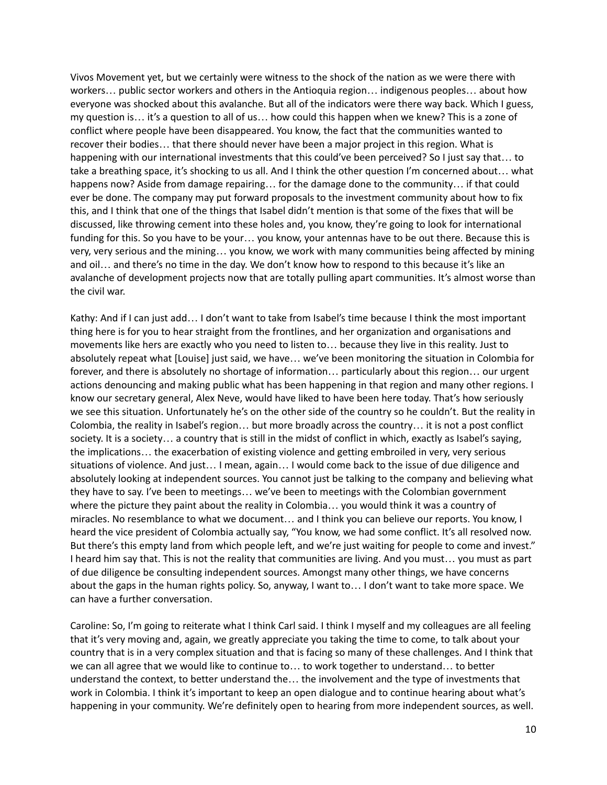Vivos Movement yet, but we certainly were witness to the shock of the nation as we were there with workers… public sector workers and others in the Antioquia region… indigenous peoples… about how everyone was shocked about this avalanche. But all of the indicators were there way back. Which I guess, my question is… it's a question to all of us… how could this happen when we knew? This is a zone of conflict where people have been disappeared. You know, the fact that the communities wanted to recover their bodies… that there should never have been a major project in this region. What is happening with our international investments that this could've been perceived? So I just say that... to take a breathing space, it's shocking to us all. And I think the other question I'm concerned about… what happens now? Aside from damage repairing... for the damage done to the community... if that could ever be done. The company may put forward proposals to the investment community about how to fix this, and I think that one of the things that Isabel didn't mention is that some of the fixes that will be discussed, like throwing cement into these holes and, you know, they're going to look for international funding for this. So you have to be your… you know, your antennas have to be out there. Because this is very, very serious and the mining… you know, we work with many communities being affected by mining and oil… and there's no time in the day. We don't know how to respond to this because it's like an avalanche of development projects now that are totally pulling apart communities. It's almost worse than the civil war.

Kathy: And if I can just add… I don't want to take from Isabel's time because I think the most important thing here is for you to hear straight from the frontlines, and her organization and organisations and movements like hers are exactly who you need to listen to… because they live in this reality. Just to absolutely repeat what [Louise] just said, we have… we've been monitoring the situation in Colombia for forever, and there is absolutely no shortage of information… particularly about this region… our urgent actions denouncing and making public what has been happening in that region and many other regions. I know our secretary general, Alex Neve, would have liked to have been here today. That's how seriously we see this situation. Unfortunately he's on the other side of the country so he couldn't. But the reality in Colombia, the reality in Isabel's region… but more broadly across the country… it is not a post conflict society. It is a society… a country that is still in the midst of conflict in which, exactly as Isabel's saying, the implications… the exacerbation of existing violence and getting embroiled in very, very serious situations of violence. And just… I mean, again… I would come back to the issue of due diligence and absolutely looking at independent sources. You cannot just be talking to the company and believing what they have to say. I've been to meetings… we've been to meetings with the Colombian government where the picture they paint about the reality in Colombia… you would think it was a country of miracles. No resemblance to what we document… and I think you can believe our reports. You know, I heard the vice president of Colombia actually say, "You know, we had some conflict. It's all resolved now. But there's this empty land from which people left, and we're just waiting for people to come and invest." I heard him say that. This is not the reality that communities are living. And you must… you must as part of due diligence be consulting independent sources. Amongst many other things, we have concerns about the gaps in the human rights policy. So, anyway, I want to… I don't want to take more space. We can have a further conversation.

Caroline: So, I'm going to reiterate what I think Carl said. I think I myself and my colleagues are all feeling that it's very moving and, again, we greatly appreciate you taking the time to come, to talk about your country that is in a very complex situation and that is facing so many of these challenges. And I think that we can all agree that we would like to continue to… to work together to understand… to better understand the context, to better understand the… the involvement and the type of investments that work in Colombia. I think it's important to keep an open dialogue and to continue hearing about what's happening in your community. We're definitely open to hearing from more independent sources, as well.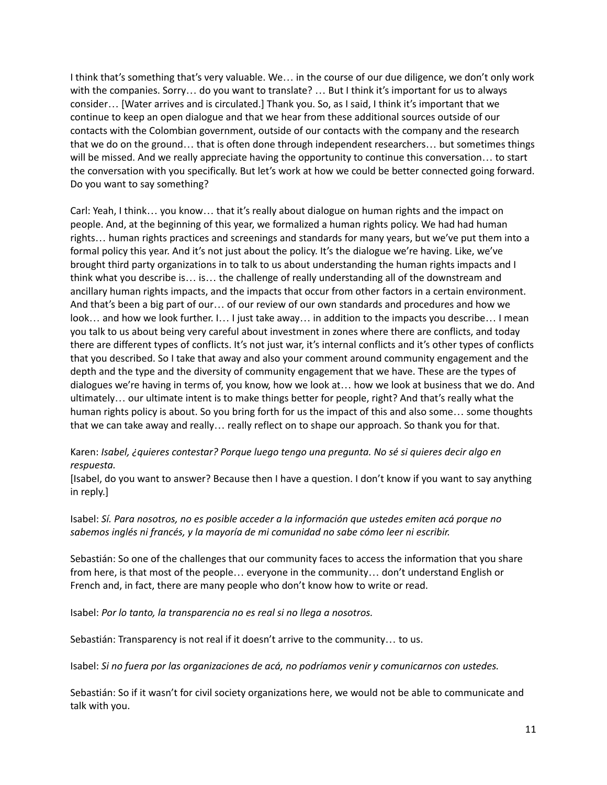I think that's something that's very valuable. We… in the course of our due diligence, we don't only work with the companies. Sorry… do you want to translate? … But I think it's important for us to always consider… [Water arrives and is circulated.] Thank you. So, as I said, I think it's important that we continue to keep an open dialogue and that we hear from these additional sources outside of our contacts with the Colombian government, outside of our contacts with the company and the research that we do on the ground… that is often done through independent researchers… but sometimes things will be missed. And we really appreciate having the opportunity to continue this conversation… to start the conversation with you specifically. But let's work at how we could be better connected going forward. Do you want to say something?

Carl: Yeah, I think… you know… that it's really about dialogue on human rights and the impact on people. And, at the beginning of this year, we formalized a human rights policy. We had had human rights… human rights practices and screenings and standards for many years, but we've put them into a formal policy this year. And it's not just about the policy. It's the dialogue we're having. Like, we've brought third party organizations in to talk to us about understanding the human rights impacts and I think what you describe is… is… the challenge of really understanding all of the downstream and ancillary human rights impacts, and the impacts that occur from other factors in a certain environment. And that's been a big part of our… of our review of our own standards and procedures and how we look… and how we look further. I… I just take away… in addition to the impacts you describe… I mean you talk to us about being very careful about investment in zones where there are conflicts, and today there are different types of conflicts. It's not just war, it's internal conflicts and it's other types of conflicts that you described. So I take that away and also your comment around community engagement and the depth and the type and the diversity of community engagement that we have. These are the types of dialogues we're having in terms of, you know, how we look at… how we look at business that we do. And ultimately… our ultimate intent is to make things better for people, right? And that's really what the human rights policy is about. So you bring forth for us the impact of this and also some… some thoughts that we can take away and really… really reflect on to shape our approach. So thank you for that.

## Karen: *Isabel, ¿quieres contestar? Porque luego tengo una pregunta. No sé si quieres decir algo en respuesta.*

[Isabel, do you want to answer? Because then I have a question. I don't know if you want to say anything in reply.]

## Isabel: *Sí. Para nosotros, no es posible acceder a la información que ustedes emiten acá porque no sabemos inglés ni francés, y la mayoría de mi comunidad no sabe cómo leer ni escribir.*

Sebastián: So one of the challenges that our community faces to access the information that you share from here, is that most of the people… everyone in the community… don't understand English or French and, in fact, there are many people who don't know how to write or read.

Isabel: *Por lo tanto, la transparencia no es real si no llega a nosotros.*

Sebastián: Transparency is not real if it doesn't arrive to the community… to us.

Isabel: *Si no fuera por las organizaciones de acá, no podríamos venir y comunicarnos con ustedes.*

Sebastián: So if it wasn't for civil society organizations here, we would not be able to communicate and talk with you.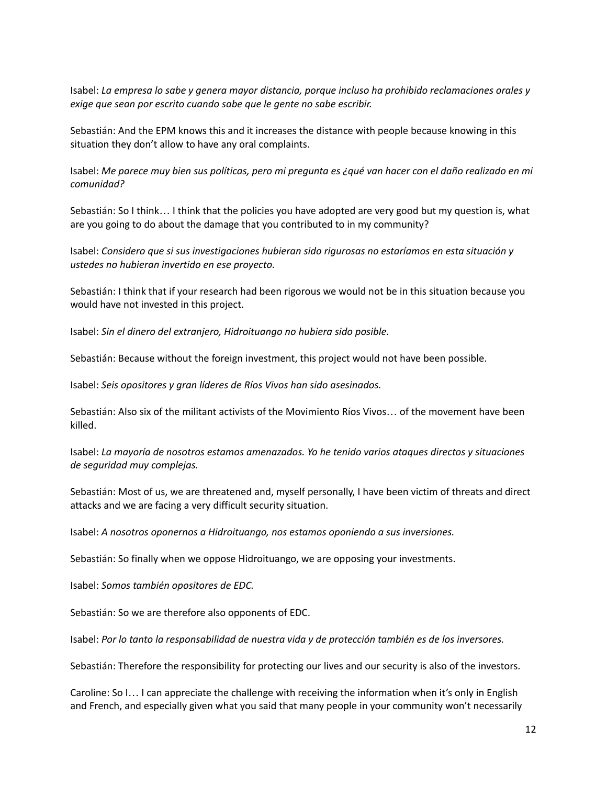Isabel: *La empresa lo sabe y genera mayor distancia, porque incluso ha prohibido reclamaciones orales y exige que sean por escrito cuando sabe que le gente no sabe escribir.*

Sebastián: And the EPM knows this and it increases the distance with people because knowing in this situation they don't allow to have any oral complaints.

Isabel: Me parece muy bien sus políticas, pero mi pregunta es ¿qué van hacer con el daño realizado en mi *comunidad?*

Sebastián: So I think… I think that the policies you have adopted are very good but my question is, what are you going to do about the damage that you contributed to in my community?

Isabel: *Considero que si sus investigaciones hubieran sido rigurosas no estaríamos en esta situación y ustedes no hubieran invertido en ese proyecto.*

Sebastián: I think that if your research had been rigorous we would not be in this situation because you would have not invested in this project.

Isabel: *Sin el dinero del extranjero, Hidroituango no hubiera sido posible.*

Sebastián: Because without the foreign investment, this project would not have been possible.

Isabel: *Seis opositores y gran líderes de Ríos Vivos han sido asesinados.*

Sebastián: Also six of the militant activists of the Movimiento Ríos Vivos… of the movement have been killed.

Isabel: *La mayoría de nosotros estamos amenazados. Yo he tenido varios ataques directos y situaciones de seguridad muy complejas.*

Sebastián: Most of us, we are threatened and, myself personally, I have been victim of threats and direct attacks and we are facing a very difficult security situation.

Isabel: *A nosotros oponernos a Hidroituango, nos estamos oponiendo a sus inversiones.*

Sebastián: So finally when we oppose Hidroituango, we are opposing your investments.

Isabel: *Somos también opositores de EDC.*

Sebastián: So we are therefore also opponents of EDC.

Isabel: *Por lo tanto la responsabilidad de nuestra vida y de protección también es de los inversores.*

Sebastián: Therefore the responsibility for protecting our lives and our security is also of the investors.

Caroline: So I… I can appreciate the challenge with receiving the information when it's only in English and French, and especially given what you said that many people in your community won't necessarily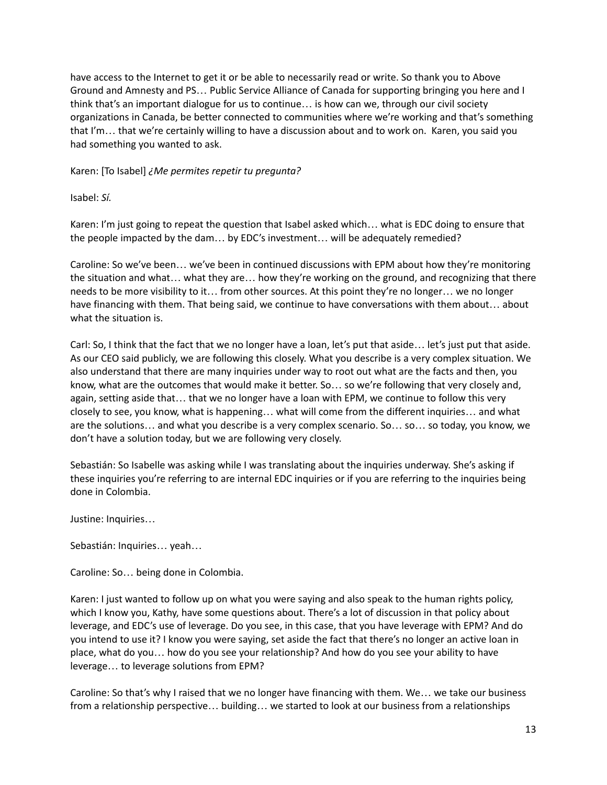have access to the Internet to get it or be able to necessarily read or write. So thank you to Above Ground and Amnesty and PS… Public Service Alliance of Canada for supporting bringing you here and I think that's an important dialogue for us to continue… is how can we, through our civil society organizations in Canada, be better connected to communities where we're working and that's something that I'm… that we're certainly willing to have a discussion about and to work on. Karen, you said you had something you wanted to ask.

Karen: [To Isabel] *¿Me permites repetir tu pregunta?*

Isabel: *Sí.*

Karen: I'm just going to repeat the question that Isabel asked which… what is EDC doing to ensure that the people impacted by the dam… by EDC's investment… will be adequately remedied?

Caroline: So we've been… we've been in continued discussions with EPM about how they're monitoring the situation and what… what they are… how they're working on the ground, and recognizing that there needs to be more visibility to it… from other sources. At this point they're no longer… we no longer have financing with them. That being said, we continue to have conversations with them about… about what the situation is.

Carl: So, I think that the fact that we no longer have a loan, let's put that aside… let's just put that aside. As our CEO said publicly, we are following this closely. What you describe is a very complex situation. We also understand that there are many inquiries under way to root out what are the facts and then, you know, what are the outcomes that would make it better. So… so we're following that very closely and, again, setting aside that… that we no longer have a loan with EPM, we continue to follow this very closely to see, you know, what is happening… what will come from the different inquiries… and what are the solutions… and what you describe is a very complex scenario. So… so… so today, you know, we don't have a solution today, but we are following very closely.

Sebastián: So Isabelle was asking while I was translating about the inquiries underway. She's asking if these inquiries you're referring to are internal EDC inquiries or if you are referring to the inquiries being done in Colombia.

Justine: Inquiries…

Sebastián: Inquiries… yeah…

Caroline: So… being done in Colombia.

Karen: I just wanted to follow up on what you were saying and also speak to the human rights policy, which I know you, Kathy, have some questions about. There's a lot of discussion in that policy about leverage, and EDC's use of leverage. Do you see, in this case, that you have leverage with EPM? And do you intend to use it? I know you were saying, set aside the fact that there's no longer an active loan in place, what do you… how do you see your relationship? And how do you see your ability to have leverage… to leverage solutions from EPM?

Caroline: So that's why I raised that we no longer have financing with them. We… we take our business from a relationship perspective… building… we started to look at our business from a relationships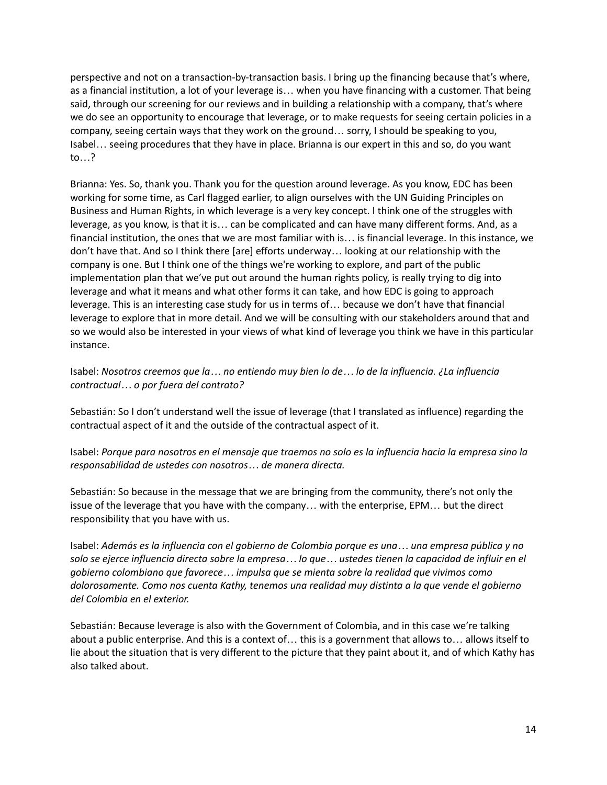perspective and not on a transaction-by-transaction basis. I bring up the financing because that's where, as a financial institution, a lot of your leverage is… when you have financing with a customer. That being said, through our screening for our reviews and in building a relationship with a company, that's where we do see an opportunity to encourage that leverage, or to make requests for seeing certain policies in a company, seeing certain ways that they work on the ground… sorry, I should be speaking to you, Isabel… seeing procedures that they have in place. Brianna is our expert in this and so, do you want to…?

Brianna: Yes. So, thank you. Thank you for the question around leverage. As you know, EDC has been working for some time, as Carl flagged earlier, to align ourselves with the UN Guiding Principles on Business and Human Rights, in which leverage is a very key concept. I think one of the struggles with leverage, as you know, is that it is… can be complicated and can have many different forms. And, as a financial institution, the ones that we are most familiar with is… is financial leverage. In this instance, we don't have that. And so I think there [are] efforts underway… looking at our relationship with the company is one. But I think one of the things we're working to explore, and part of the public implementation plan that we've put out around the human rights policy, is really trying to dig into leverage and what it means and what other forms it can take, and how EDC is going to approach leverage. This is an interesting case study for us in terms of… because we don't have that financial leverage to explore that in more detail. And we will be consulting with our stakeholders around that and so we would also be interested in your views of what kind of leverage you think we have in this particular instance.

Isabel: *Nosotros creemos que la… no entiendo muy bien lo de… lo de la influencia. ¿La influencia contractual… o por fuera del contrato?*

Sebastián: So I don't understand well the issue of leverage (that I translated as influence) regarding the contractual aspect of it and the outside of the contractual aspect of it.

Isabel: Porque para nosotros en el mensaje que traemos no solo es la influencia hacia la empresa sino la *responsabilidad de ustedes con nosotros… de manera directa.*

Sebastián: So because in the message that we are bringing from the community, there's not only the issue of the leverage that you have with the company… with the enterprise, EPM… but the direct responsibility that you have with us.

Isabel: Además es la influencia con el gobierno de Colombia porque es una... una empresa pública y no solo se ejerce influencia directa sobre la empresa... lo que... ustedes tienen la capacidad de influir en el *gobierno colombiano que favorece… impulsa que se mienta sobre la realidad que vivimos como dolorosamente. Como nos cuenta Kathy, tenemos una realidad muy distinta a la que vende el gobierno del Colombia en el exterior.*

Sebastián: Because leverage is also with the Government of Colombia, and in this case we're talking about a public enterprise. And this is a context of… this is a government that allows to… allows itself to lie about the situation that is very different to the picture that they paint about it, and of which Kathy has also talked about.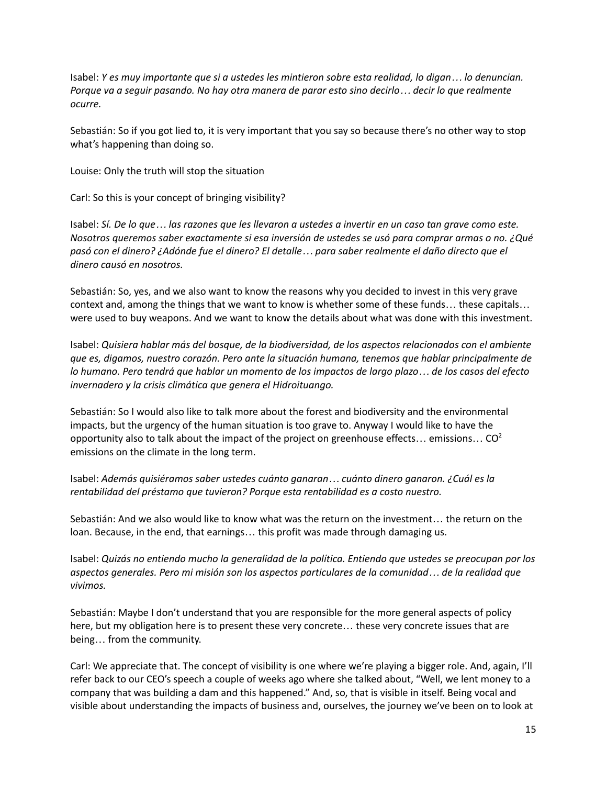Isabel: Y es muy importante que si a ustedes les mintieron sobre esta realidad, lo digan... lo denuncian. Porque va a seguir pasando. No hay otra manera de parar esto sino decirlo... decir lo que realmente *ocurre.*

Sebastián: So if you got lied to, it is very important that you say so because there's no other way to stop what's happening than doing so.

Louise: Only the truth will stop the situation

Carl: So this is your concept of bringing visibility?

Isabel: Sí. De lo que ... las razones que les llevaron a ustedes a invertir en un caso tan grave como este. *Nosotros queremos saber exactamente si esa inversión de ustedes se usó para comprar armas o no. ¿Qué* pasó con el dinero? ¿Adónde fue el dinero? El detalle ... para saber realmente el daño directo que el *dinero causó en nosotros.*

Sebastián: So, yes, and we also want to know the reasons why you decided to invest in this very grave context and, among the things that we want to know is whether some of these funds… these capitals… were used to buy weapons. And we want to know the details about what was done with this investment.

Isabel: *Quisiera hablar más del bosque, de la biodiversidad, de los aspectos relacionados con el ambiente que es, digamos, nuestro corazón. Pero ante la situación humana, tenemos que hablar principalmente de* lo humano. Pero tendrá que hablar un momento de los impactos de largo plazo... de los casos del efecto *invernadero y la crisis climática que genera el Hidroituango.*

Sebastián: So I would also like to talk more about the forest and biodiversity and the environmental impacts, but the urgency of the human situation is too grave to. Anyway I would like to have the opportunity also to talk about the impact of the project on greenhouse effects... emissions... CO<sup>2</sup> emissions on the climate in the long term.

Isabel: *Además quisiéramos saber ustedes cuánto ganaran… cuánto dinero ganaron. ¿Cuál es la rentabilidad del préstamo que tuvieron? Porque esta rentabilidad es a costo nuestro.*

Sebastián: And we also would like to know what was the return on the investment… the return on the loan. Because, in the end, that earnings… this profit was made through damaging us.

Isabel: *Quizás no entiendo mucho la generalidad de la política. Entiendo que ustedes se preocupan por los aspectos generales. Pero mi misión son los aspectos particulares de la comunidad… de la realidad que vivimos.*

Sebastián: Maybe I don't understand that you are responsible for the more general aspects of policy here, but my obligation here is to present these very concrete... these very concrete issues that are being… from the community.

Carl: We appreciate that. The concept of visibility is one where we're playing a bigger role. And, again, I'll refer back to our CEO's speech a couple of weeks ago where she talked about, "Well, we lent money to a company that was building a dam and this happened." And, so, that is visible in itself. Being vocal and visible about understanding the impacts of business and, ourselves, the journey we've been on to look at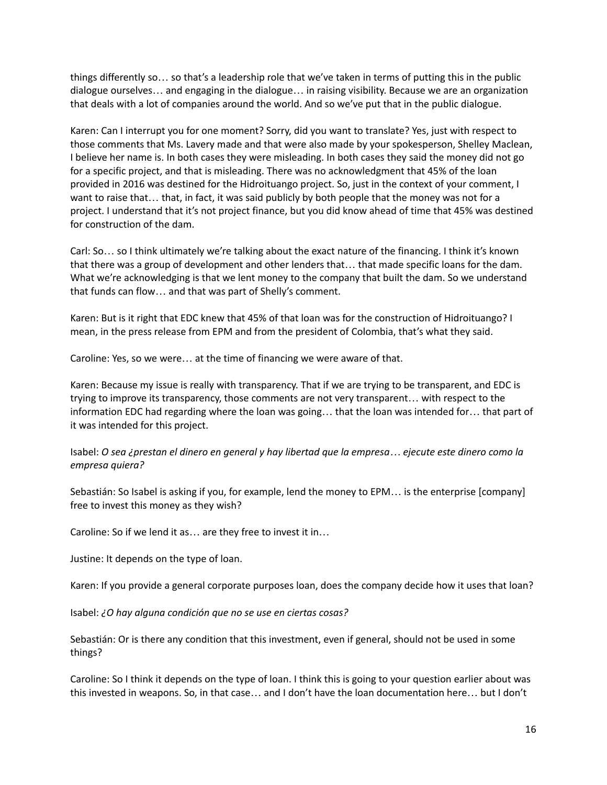things differently so… so that's a leadership role that we've taken in terms of putting this in the public dialogue ourselves… and engaging in the dialogue… in raising visibility. Because we are an organization that deals with a lot of companies around the world. And so we've put that in the public dialogue.

Karen: Can I interrupt you for one moment? Sorry, did you want to translate? Yes, just with respect to those comments that Ms. Lavery made and that were also made by your spokesperson, Shelley Maclean, I believe her name is. In both cases they were misleading. In both cases they said the money did not go for a specific project, and that is misleading. There was no acknowledgment that 45% of the loan provided in 2016 was destined for the Hidroituango project. So, just in the context of your comment, I want to raise that… that, in fact, it was said publicly by both people that the money was not for a project. I understand that it's not project finance, but you did know ahead of time that 45% was destined for construction of the dam.

Carl: So… so I think ultimately we're talking about the exact nature of the financing. I think it's known that there was a group of development and other lenders that… that made specific loans for the dam. What we're acknowledging is that we lent money to the company that built the dam. So we understand that funds can flow… and that was part of Shelly's comment.

Karen: But is it right that EDC knew that 45% of that loan was for the construction of Hidroituango? I mean, in the press release from EPM and from the president of Colombia, that's what they said.

Caroline: Yes, so we were… at the time of financing we were aware of that.

Karen: Because my issue is really with transparency. That if we are trying to be transparent, and EDC is trying to improve its transparency, those comments are not very transparent… with respect to the information EDC had regarding where the loan was going… that the loan was intended for… that part of it was intended for this project.

Isabel: O sea ¿prestan el dinero en general y hay libertad que la empresa... ejecute este dinero como la *empresa quiera?*

Sebastián: So Isabel is asking if you, for example, lend the money to EPM… is the enterprise [company] free to invest this money as they wish?

Caroline: So if we lend it as… are they free to invest it in…

Justine: It depends on the type of loan.

Karen: If you provide a general corporate purposes loan, does the company decide how it uses that loan?

Isabel: *¿O hay alguna condición que no se use en ciertas cosas?*

Sebastián: Or is there any condition that this investment, even if general, should not be used in some things?

Caroline: So I think it depends on the type of loan. I think this is going to your question earlier about was this invested in weapons. So, in that case… and I don't have the loan documentation here… but I don't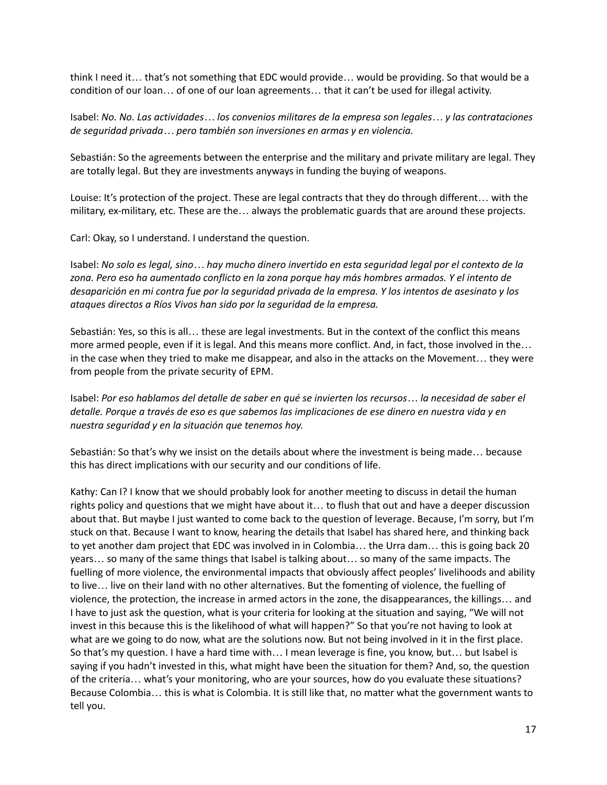think I need it… that's not something that EDC would provide… would be providing. So that would be a condition of our loan… of one of our loan agreements… that it can't be used for illegal activity.

Isabel: *No. No. Las actividades… los convenios militares de la empresa son legales… y las contrataciones de seguridad privada… pero también son inversiones en armas y en violencia.*

Sebastián: So the agreements between the enterprise and the military and private military are legal. They are totally legal. But they are investments anyways in funding the buying of weapons.

Louise: It's protection of the project. These are legal contracts that they do through different… with the military, ex-military, etc. These are the… always the problematic guards that are around these projects.

Carl: Okay, so I understand. I understand the question.

Isabel: No solo es legal, sino... hay mucho dinero invertido en esta seguridad legal por el contexto de la *zona. Pero eso ha aumentado conflicto en la zona porque hay más hombres armados. Y el intento de* desaparición en mi contra fue por la seguridad privada de la empresa. Y los intentos de asesinato y los *ataques directos a Ríos Vivos han sido por la seguridad de la empresa.*

Sebastián: Yes, so this is all… these are legal investments. But in the context of the conflict this means more armed people, even if it is legal. And this means more conflict. And, in fact, those involved in the… in the case when they tried to make me disappear, and also in the attacks on the Movement… they were from people from the private security of EPM.

Isabel: Por eso hablamos del detalle de saber en qué se invierten los recursos... la necesidad de saber el detalle. Porque a través de eso es que sabemos las implicaciones de ese dinero en nuestra vida y en *nuestra seguridad y en la situación que tenemos hoy.*

Sebastián: So that's why we insist on the details about where the investment is being made… because this has direct implications with our security and our conditions of life.

Kathy: Can I? I know that we should probably look for another meeting to discuss in detail the human rights policy and questions that we might have about it… to flush that out and have a deeper discussion about that. But maybe I just wanted to come back to the question of leverage. Because, I'm sorry, but I'm stuck on that. Because I want to know, hearing the details that Isabel has shared here, and thinking back to yet another dam project that EDC was involved in in Colombia… the Urra dam… this is going back 20 years… so many of the same things that Isabel is talking about… so many of the same impacts. The fuelling of more violence, the environmental impacts that obviously affect peoples' livelihoods and ability to live… live on their land with no other alternatives. But the fomenting of violence, the fuelling of violence, the protection, the increase in armed actors in the zone, the disappearances, the killings… and I have to just ask the question, what is your criteria for looking at the situation and saying, "We will not invest in this because this is the likelihood of what will happen?" So that you're not having to look at what are we going to do now, what are the solutions now. But not being involved in it in the first place. So that's my question. I have a hard time with… I mean leverage is fine, you know, but… but Isabel is saying if you hadn't invested in this, what might have been the situation for them? And, so, the question of the criteria… what's your monitoring, who are your sources, how do you evaluate these situations? Because Colombia… this is what is Colombia. It is still like that, no matter what the government wants to tell you.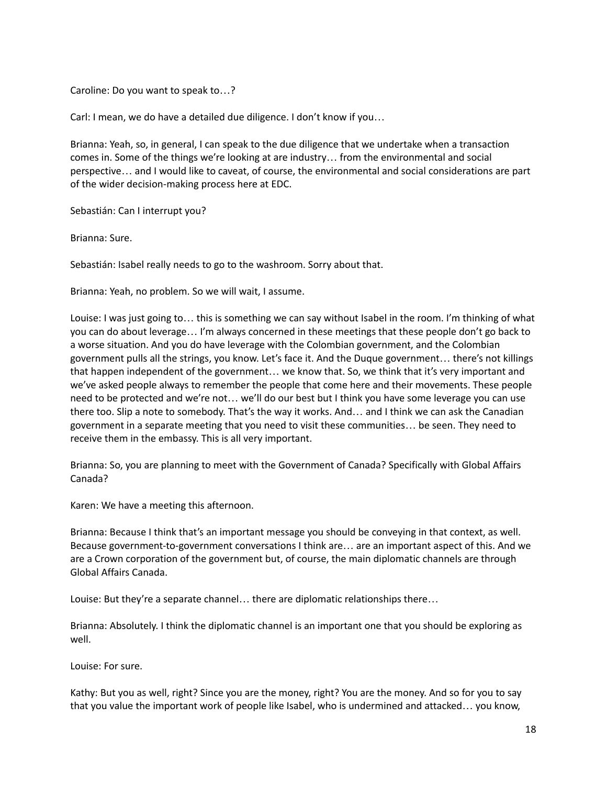Caroline: Do you want to speak to…?

Carl: I mean, we do have a detailed due diligence. I don't know if you…

Brianna: Yeah, so, in general, I can speak to the due diligence that we undertake when a transaction comes in. Some of the things we're looking at are industry… from the environmental and social perspective… and I would like to caveat, of course, the environmental and social considerations are part of the wider decision-making process here at EDC.

Sebastián: Can I interrupt you?

Brianna: Sure.

Sebastián: Isabel really needs to go to the washroom. Sorry about that.

Brianna: Yeah, no problem. So we will wait, I assume.

Louise: I was just going to… this is something we can say without Isabel in the room. I'm thinking of what you can do about leverage… I'm always concerned in these meetings that these people don't go back to a worse situation. And you do have leverage with the Colombian government, and the Colombian government pulls all the strings, you know. Let's face it. And the Duque government… there's not killings that happen independent of the government… we know that. So, we think that it's very important and we've asked people always to remember the people that come here and their movements. These people need to be protected and we're not… we'll do our best but I think you have some leverage you can use there too. Slip a note to somebody. That's the way it works. And… and I think we can ask the Canadian government in a separate meeting that you need to visit these communities… be seen. They need to receive them in the embassy. This is all very important.

Brianna: So, you are planning to meet with the Government of Canada? Specifically with Global Affairs Canada?

Karen: We have a meeting this afternoon.

Brianna: Because I think that's an important message you should be conveying in that context, as well. Because government-to-government conversations I think are… are an important aspect of this. And we are a Crown corporation of the government but, of course, the main diplomatic channels are through Global Affairs Canada.

Louise: But they're a separate channel… there are diplomatic relationships there…

Brianna: Absolutely. I think the diplomatic channel is an important one that you should be exploring as well.

Louise: For sure.

Kathy: But you as well, right? Since you are the money, right? You are the money. And so for you to say that you value the important work of people like Isabel, who is undermined and attacked… you know,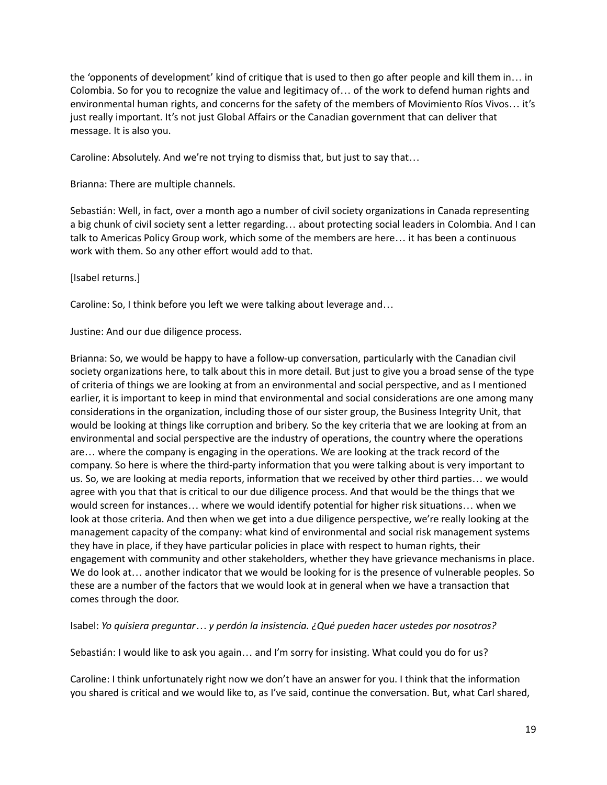the 'opponents of development' kind of critique that is used to then go after people and kill them in… in Colombia. So for you to recognize the value and legitimacy of… of the work to defend human rights and environmental human rights, and concerns for the safety of the members of Movimiento Ríos Vivos… it's just really important. It's not just Global Affairs or the Canadian government that can deliver that message. It is also you.

Caroline: Absolutely. And we're not trying to dismiss that, but just to say that…

Brianna: There are multiple channels.

Sebastián: Well, in fact, over a month ago a number of civil society organizations in Canada representing a big chunk of civil society sent a letter regarding… about protecting social leaders in Colombia. And I can talk to Americas Policy Group work, which some of the members are here… it has been a continuous work with them. So any other effort would add to that.

[Isabel returns.]

Caroline: So, I think before you left we were talking about leverage and…

Justine: And our due diligence process.

Brianna: So, we would be happy to have a follow-up conversation, particularly with the Canadian civil society organizations here, to talk about this in more detail. But just to give you a broad sense of the type of criteria of things we are looking at from an environmental and social perspective, and as I mentioned earlier, it is important to keep in mind that environmental and social considerations are one among many considerations in the organization, including those of our sister group, the Business Integrity Unit, that would be looking at things like corruption and bribery. So the key criteria that we are looking at from an environmental and social perspective are the industry of operations, the country where the operations are… where the company is engaging in the operations. We are looking at the track record of the company. So here is where the third-party information that you were talking about is very important to us. So, we are looking at media reports, information that we received by other third parties… we would agree with you that that is critical to our due diligence process. And that would be the things that we would screen for instances… where we would identify potential for higher risk situations… when we look at those criteria. And then when we get into a due diligence perspective, we're really looking at the management capacity of the company: what kind of environmental and social risk management systems they have in place, if they have particular policies in place with respect to human rights, their engagement with community and other stakeholders, whether they have grievance mechanisms in place. We do look at… another indicator that we would be looking for is the presence of vulnerable peoples. So these are a number of the factors that we would look at in general when we have a transaction that comes through the door.

Isabel: *Yo quisiera preguntar… y perdón la insistencia. ¿Qué pueden hacer ustedes por nosotros?*

Sebastián: I would like to ask you again… and I'm sorry for insisting. What could you do for us?

Caroline: I think unfortunately right now we don't have an answer for you. I think that the information you shared is critical and we would like to, as I've said, continue the conversation. But, what Carl shared,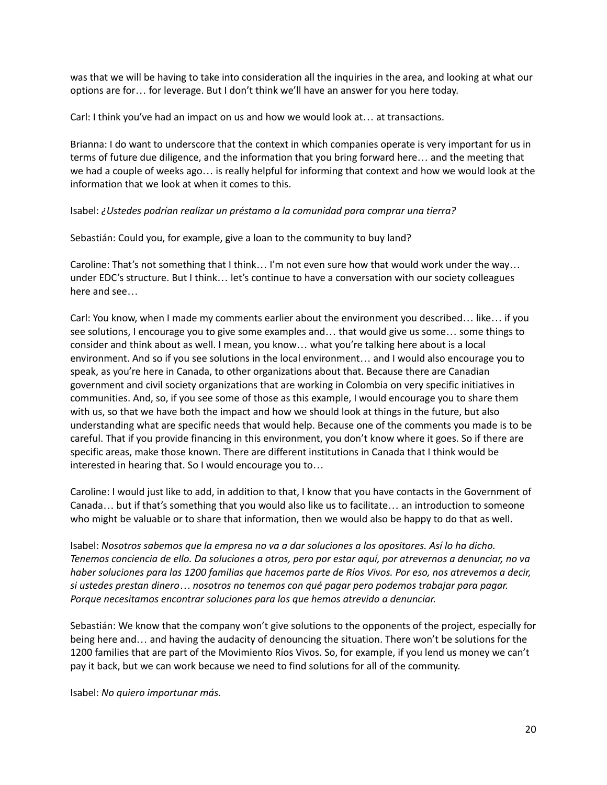was that we will be having to take into consideration all the inquiries in the area, and looking at what our options are for… for leverage. But I don't think we'll have an answer for you here today.

Carl: I think you've had an impact on us and how we would look at… at transactions.

Brianna: I do want to underscore that the context in which companies operate is very important for us in terms of future due diligence, and the information that you bring forward here… and the meeting that we had a couple of weeks ago… is really helpful for informing that context and how we would look at the information that we look at when it comes to this.

## Isabel: *¿Ustedes podrían realizar un préstamo a la comunidad para comprar una tierra?*

Sebastián: Could you, for example, give a loan to the community to buy land?

Caroline: That's not something that I think… I'm not even sure how that would work under the way… under EDC's structure. But I think… let's continue to have a conversation with our society colleagues here and see…

Carl: You know, when I made my comments earlier about the environment you described… like… if you see solutions, I encourage you to give some examples and… that would give us some… some things to consider and think about as well. I mean, you know… what you're talking here about is a local environment. And so if you see solutions in the local environment… and I would also encourage you to speak, as you're here in Canada, to other organizations about that. Because there are Canadian government and civil society organizations that are working in Colombia on very specific initiatives in communities. And, so, if you see some of those as this example, I would encourage you to share them with us, so that we have both the impact and how we should look at things in the future, but also understanding what are specific needs that would help. Because one of the comments you made is to be careful. That if you provide financing in this environment, you don't know where it goes. So if there are specific areas, make those known. There are different institutions in Canada that I think would be interested in hearing that. So I would encourage you to…

Caroline: I would just like to add, in addition to that, I know that you have contacts in the Government of Canada… but if that's something that you would also like us to facilitate… an introduction to someone who might be valuable or to share that information, then we would also be happy to do that as well.

Isabel: *Nosotros sabemos que la empresa no va a dar soluciones a los opositores. Así lo ha dicho.* Tenemos conciencia de ello. Da soluciones a otros, pero por estar aquí, por atrevernos a denunciar, no va haber soluciones para las 1200 familias que hacemos parte de Ríos Vivos. Por eso, nos atrevemos a decir, *si ustedes prestan dinero… nosotros no tenemos con qué pagar pero podemos trabajar para pagar. Porque necesitamos encontrar soluciones para los que hemos atrevido a denunciar.*

Sebastián: We know that the company won't give solutions to the opponents of the project, especially for being here and… and having the audacity of denouncing the situation. There won't be solutions for the 1200 families that are part of the Movimiento Ríos Vivos. So, for example, if you lend us money we can't pay it back, but we can work because we need to find solutions for all of the community.

Isabel: *No quiero importunar más.*